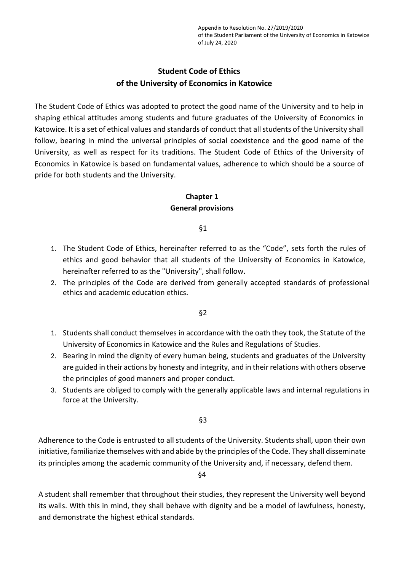# **Student Code of Ethics of the University of Economics in Katowice**

The Student Code of Ethics was adopted to protect the good name of the University and to help in shaping ethical attitudes among students and future graduates of the University of Economics in Katowice. It is a set of ethical values and standards of conduct that all students of the University shall follow, bearing in mind the universal principles of social coexistence and the good name of the University, as well as respect for its traditions. The Student Code of Ethics of the University of Economics in Katowice is based on fundamental values, adherence to which should be a source of pride for both students and the University.

# **Chapter 1 General provisions**

§1

- 1. The Student Code of Ethics, hereinafter referred to as the "Code", sets forth the rules of ethics and good behavior that all students of the University of Economics in Katowice, hereinafter referred to as the "University", shall follow.
- 2. The principles of the Code are derived from generally accepted standards of professional ethics and academic education ethics.

§2

- 1. Students shall conduct themselves in accordance with the oath they took, the Statute of the University of Economics in Katowice and the Rules and Regulations of Studies.
- 2. Bearing in mind the dignity of every human being, students and graduates of the University are guided in their actions by honesty and integrity, and in their relations with others observe the principles of good manners and proper conduct.
- 3. Students are obliged to comply with the generally applicable laws and internal regulations in force at the University.

§3

Adherence to the Code is entrusted to all students of the University. Students shall, upon their own initiative, familiarize themselves with and abide by the principles of the Code. They shall disseminate its principles among the academic community of the University and, if necessary, defend them.

§4

A student shall remember that throughout their studies, they represent the University well beyond its walls. With this in mind, they shall behave with dignity and be a model of lawfulness, honesty, and demonstrate the highest ethical standards.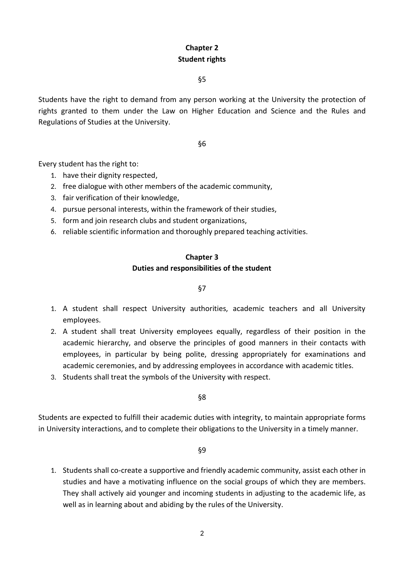# **Chapter 2 Student rights**

§5

Students have the right to demand from any person working at the University the protection of rights granted to them under the Law on Higher Education and Science and the Rules and Regulations of Studies at the University.

## §6

Every student has the right to:

- 1. have their dignity respected,
- 2. free dialogue with other members of the academic community,
- 3. fair verification of their knowledge,
- 4. pursue personal interests, within the framework of their studies,
- 5. form and join research clubs and student organizations,
- 6. reliable scientific information and thoroughly prepared teaching activities.

## **Chapter 3 Duties and responsibilities of the student**

## §7

- 1. A student shall respect University authorities, academic teachers and all University employees.
- 2. A student shall treat University employees equally, regardless of their position in the academic hierarchy, and observe the principles of good manners in their contacts with employees, in particular by being polite, dressing appropriately for examinations and academic ceremonies, and by addressing employees in accordance with academic titles.
- 3. Students shall treat the symbols of the University with respect.

§8

Students are expected to fulfill their academic duties with integrity, to maintain appropriate forms in University interactions, and to complete their obligations to the University in a timely manner.

§9

1. Students shall co-create a supportive and friendly academic community, assist each other in studies and have a motivating influence on the social groups of which they are members. They shall actively aid younger and incoming students in adjusting to the academic life, as well as in learning about and abiding by the rules of the University.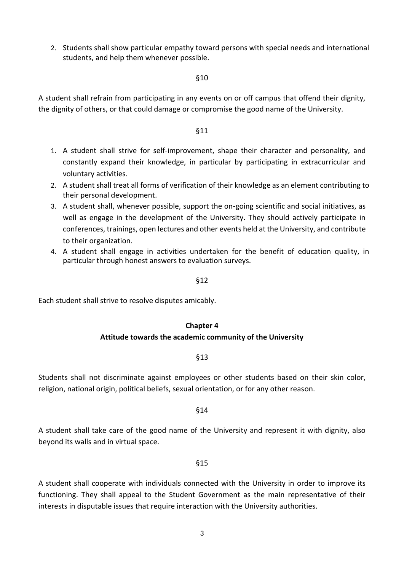2. Students shall show particular empathy toward persons with special needs and international students, and help them whenever possible.

#### §10

A student shall refrain from participating in any events on or off campus that offend their dignity, the dignity of others, or that could damage or compromise the good name of the University.

#### §11

- 1. A student shall strive for self-improvement, shape their character and personality, and constantly expand their knowledge, in particular by participating in extracurricular and voluntary activities.
- 2. A student shall treat all forms of verification of their knowledge as an element contributing to their personal development.
- 3. A student shall, whenever possible, support the on-going scientific and social initiatives, as well as engage in the development of the University. They should actively participate in conferences, trainings, open lectures and other events held at the University, and contribute to their organization.
- 4. A student shall engage in activities undertaken for the benefit of education quality, in particular through honest answers to evaluation surveys.

#### §12

Each student shall strive to resolve disputes amicably.

## **Chapter 4**

#### **Attitude towards the academic community of the University**

#### §13

Students shall not discriminate against employees or other students based on their skin color, religion, national origin, political beliefs, sexual orientation, or for any other reason.

#### §14

A student shall take care of the good name of the University and represent it with dignity, also beyond its walls and in virtual space.

#### §15

A student shall cooperate with individuals connected with the University in order to improve its functioning. They shall appeal to the Student Government as the main representative of their interests in disputable issues that require interaction with the University authorities.